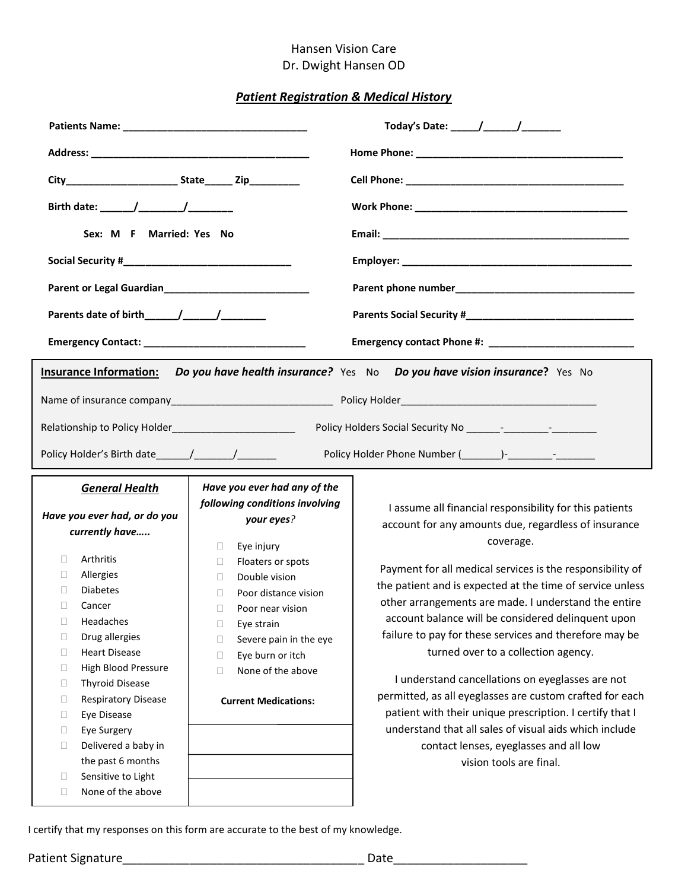## Hansen Vision Care Dr. Dwight Hansen OD

## *Patient Registration & Medical History*

| Sex: M F Married: Yes No |  |                                                                                                                                                                                                                                                                                                                                                                                    |                                                                                                                                                                                                                                                                                         |  |                                                                                                                                                                                                                                                                                                                                                                                                                                                                                                                                                                                                                                                                                                                                                                                  |                                                                |  |  |
|--------------------------|--|------------------------------------------------------------------------------------------------------------------------------------------------------------------------------------------------------------------------------------------------------------------------------------------------------------------------------------------------------------------------------------|-----------------------------------------------------------------------------------------------------------------------------------------------------------------------------------------------------------------------------------------------------------------------------------------|--|----------------------------------------------------------------------------------------------------------------------------------------------------------------------------------------------------------------------------------------------------------------------------------------------------------------------------------------------------------------------------------------------------------------------------------------------------------------------------------------------------------------------------------------------------------------------------------------------------------------------------------------------------------------------------------------------------------------------------------------------------------------------------------|----------------------------------------------------------------|--|--|
|                          |  |                                                                                                                                                                                                                                                                                                                                                                                    |                                                                                                                                                                                                                                                                                         |  |                                                                                                                                                                                                                                                                                                                                                                                                                                                                                                                                                                                                                                                                                                                                                                                  |                                                                |  |  |
|                          |  | Do you have health insurance? Yes No Do you have vision insurance? Yes No<br><b>Insurance Information:</b><br>Relationship to Policy Holder___________________________                                                                                                                                                                                                             |                                                                                                                                                                                                                                                                                         |  |                                                                                                                                                                                                                                                                                                                                                                                                                                                                                                                                                                                                                                                                                                                                                                                  |                                                                |  |  |
|                          |  |                                                                                                                                                                                                                                                                                                                                                                                    |                                                                                                                                                                                                                                                                                         |  | Policy Holder Phone Number (Company - Company - Company - Company - Company - Company - Company - Company - Co                                                                                                                                                                                                                                                                                                                                                                                                                                                                                                                                                                                                                                                                   |                                                                |  |  |
|                          |  |                                                                                                                                                                                                                                                                                                                                                                                    |                                                                                                                                                                                                                                                                                         |  | <b>General Health</b><br>Have you ever had, or do you                                                                                                                                                                                                                                                                                                                                                                                                                                                                                                                                                                                                                                                                                                                            | Have you ever had any of the<br>following conditions involving |  |  |
|                          |  | currently have<br>Arthritis<br>П<br>Allergies<br>П.<br><b>Diabetes</b><br>П<br>Cancer<br>$\mathbf{L}$<br>Headaches<br>u.<br>Drug allergies<br>□<br><b>Heart Disease</b><br>□<br>High Blood Pressure<br>O<br><b>Thyroid Disease</b><br>□<br>Respiratory Disease<br>O<br>Eye Disease<br>□<br>Eye Surgery<br>□<br>Delivered a baby in<br>□<br>the past 6 months<br>Sensitive to Light | your eyes?<br>$\Box$<br>Eye injury<br>Floaters or spots<br>П.<br>Double vision<br>П<br>Poor distance vision<br>$\Box$<br>Poor near vision<br>П<br>Eye strain<br>Severe pain in the eye<br>П<br>Eye burn or itch<br>$\Box$<br>None of the above<br>$\Box$<br><b>Current Medications:</b> |  | I assume all financial responsibility for this patients<br>account for any amounts due, regardless of insurance<br>coverage.<br>Payment for all medical services is the responsibility of<br>the patient and is expected at the time of service unless<br>other arrangements are made. I understand the entire<br>account balance will be considered delinquent upon<br>failure to pay for these services and therefore may be<br>turned over to a collection agency.<br>I understand cancellations on eyeglasses are not<br>permitted, as all eyeglasses are custom crafted for each<br>patient with their unique prescription. I certify that I<br>understand that all sales of visual aids which include<br>contact lenses, eyeglasses and all low<br>vision tools are final. |                                                                |  |  |

I certify that my responses on this form are accurate to the best of my knowledge.